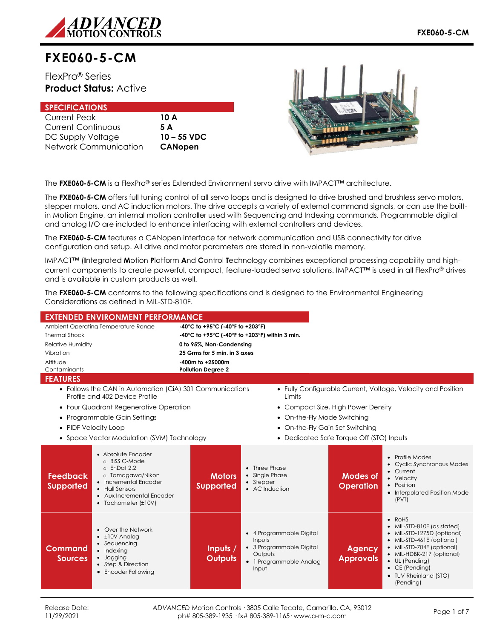

# **FXE060-5-CM**

FlexPro® Series **Product Status:** Active

| <b>SPECIFICATIONS</b>     |                |
|---------------------------|----------------|
| <b>Current Peak</b>       | 10 A           |
| <b>Current Continuous</b> | 5 A            |
| DC Supply Voltage         | $10 - 55$ VDC  |
| Network Communication     | <b>CANopen</b> |



The **FXE060-5-CM** is a FlexPro® series Extended Environment servo drive with IMPACT™ architecture.

The **FXE060-5-CM** offers full tuning control of all servo loops and is designed to drive brushed and brushless servo motors, stepper motors, and AC induction motors. The drive accepts a variety of external command signals, or can use the builtin Motion Engine, an internal motion controller used with Sequencing and Indexing commands. Programmable digital and analog I/O are included to enhance interfacing with external controllers and devices.

The **FXE060-5-CM** features a CANopen interface for network communication and USB connectivity for drive configuration and setup. All drive and motor parameters are stored in non-volatile memory.

IMPACT™ (**I**ntegrated **M**otion **P**latform **A**nd **C**ontrol **T**echnology combines exceptional processing capability and highcurrent components to create powerful, compact, feature-loaded servo solutions. IMPACT™ is used in all FlexPro® drives and is available in custom products as well.

The **FXE060-5-CM** conforms to the following specifications and is designed to the Environmental Engineering Considerations as defined in MIL-STD-810F.

| <b>EXTENDED ENVIRONMENT PERFORMANCE</b>                                                                                                                                                                             |                                                |                                                                                                               |                                    |                                                                                                                                                                                                                                                     |
|---------------------------------------------------------------------------------------------------------------------------------------------------------------------------------------------------------------------|------------------------------------------------|---------------------------------------------------------------------------------------------------------------|------------------------------------|-----------------------------------------------------------------------------------------------------------------------------------------------------------------------------------------------------------------------------------------------------|
| Ambient Operating Temperature Range                                                                                                                                                                                 | -40°C to +95°C (-40°F to +203°F)               |                                                                                                               |                                    |                                                                                                                                                                                                                                                     |
| <b>Thermal Shock</b>                                                                                                                                                                                                | -40°C to +95°C (-40°F to +203°F) within 3 min. |                                                                                                               |                                    |                                                                                                                                                                                                                                                     |
| <b>Relative Humidity</b>                                                                                                                                                                                            | 0 to 95%, Non-Condensing                       |                                                                                                               |                                    |                                                                                                                                                                                                                                                     |
| Vibration                                                                                                                                                                                                           | 25 Grms for 5 min. in 3 axes                   |                                                                                                               |                                    |                                                                                                                                                                                                                                                     |
| Altitude                                                                                                                                                                                                            | -400m to +25000m                               |                                                                                                               |                                    |                                                                                                                                                                                                                                                     |
| Contaminants                                                                                                                                                                                                        | <b>Pollution Degree 2</b>                      |                                                                                                               |                                    |                                                                                                                                                                                                                                                     |
| <b>FEATURES</b>                                                                                                                                                                                                     |                                                |                                                                                                               |                                    |                                                                                                                                                                                                                                                     |
| • Follows the CAN in Automation (CiA) 301 Communications<br>Profile and 402 Device Profile                                                                                                                          |                                                | Limits                                                                                                        |                                    | • Fully Configurable Current, Voltage, Velocity and Position                                                                                                                                                                                        |
| • Four Quadrant Regenerative Operation                                                                                                                                                                              |                                                |                                                                                                               | • Compact Size, High Power Density |                                                                                                                                                                                                                                                     |
| • Programmable Gain Settings                                                                                                                                                                                        |                                                | • On-the-Fly Mode Switching                                                                                   |                                    |                                                                                                                                                                                                                                                     |
| • PIDF Velocity Loop                                                                                                                                                                                                |                                                | • On-the-Fly Gain Set Switching                                                                               |                                    |                                                                                                                                                                                                                                                     |
| • Space Vector Modulation (SVM) Technology<br>• Dedicated Safe Torque Off (STO) Inputs                                                                                                                              |                                                |                                                                                                               |                                    |                                                                                                                                                                                                                                                     |
|                                                                                                                                                                                                                     |                                                |                                                                                                               |                                    |                                                                                                                                                                                                                                                     |
| • Absolute Encoder<br>o BiSS C-Mode<br>$o$ EnDat 2.2<br>o Tamagawa/Nikon<br><b>Feedback</b><br>• Incremental Encoder<br><b>Supported</b><br>• Hall Sensors<br>• Aux Incremental Encoder<br>• Tachometer $(\pm 10V)$ | <b>Motors</b><br><b>Supported</b>              | • Three Phase<br>• Single Phase<br>• Stepper<br>• AC Induction                                                | Modes of<br><b>Operation</b>       | • Profile Modes<br>• Cyclic Synchronous Modes<br>• Current<br>• Velocity<br>• Position<br>• Interpolated Position Mode<br>(PVT)                                                                                                                     |
| • Over the Network<br>$\cdot$ $\pm$ 10V Analog<br>• Sequencing<br>Command<br>• Indexing<br>· Jogging<br><b>Sources</b><br>• Step & Direction<br>• Encoder Following                                                 | Inputs /<br><b>Outputs</b>                     | • 4 Programmable Digital<br>Inputs<br>• 3 Programmable Digital<br>Outputs<br>• 1 Programmable Analog<br>Input | <b>Agency</b><br><b>Approvals</b>  | $\bullet$ RoHS<br>• MIL-STD-810F (as stated)<br>• MIL-STD-1275D (optional)<br>• MIL-STD-461E (optional)<br>• MIL-STD-704F (optional)<br>• MIL-HDBK-217 (optional)<br>• UL (Pending)<br>$\bullet$ CE (Pending)<br>• TUV Rheinland (STO)<br>(Pending) |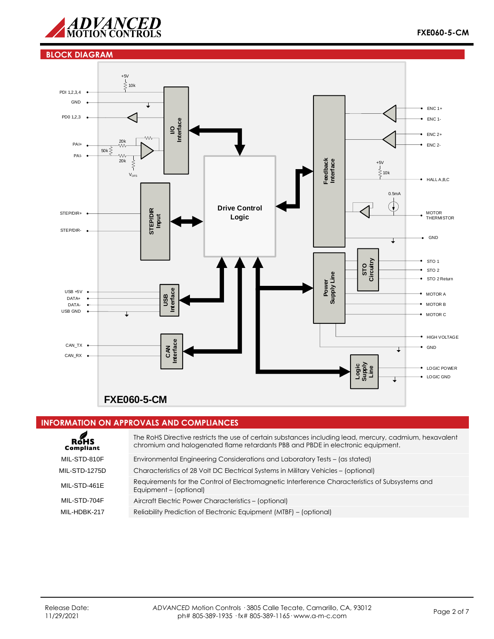

#### **BLOCK DIAGRAM**



#### **INFORMATION ON APPROVALS AND COMPLIANCES**

| ROHS<br>Compliant    | The RoHS Directive restricts the use of certain substances including lead, mercury, cadmium, hexavalent<br>chromium and halogenated flame retardants PBB and PBDE in electronic equipment. |
|----------------------|--------------------------------------------------------------------------------------------------------------------------------------------------------------------------------------------|
| MIL-STD-810F         | Environmental Engineering Considerations and Laboratory Tests – (as stated)                                                                                                                |
| <b>MIL-STD-1275D</b> | Characteristics of 28 Volt DC Electrical Systems in Military Vehicles - (optional)                                                                                                         |
| MIL-STD-461E         | Requirements for the Control of Electromagnetic Interference Characteristics of Subsystems and<br>Equipment - (optional)                                                                   |
| MIL-STD-704F         | Aircraft Electric Power Characteristics - (optional)                                                                                                                                       |
| MIL-HDBK-217         | Reliability Prediction of Electronic Equipment (MTBF) – (optional)                                                                                                                         |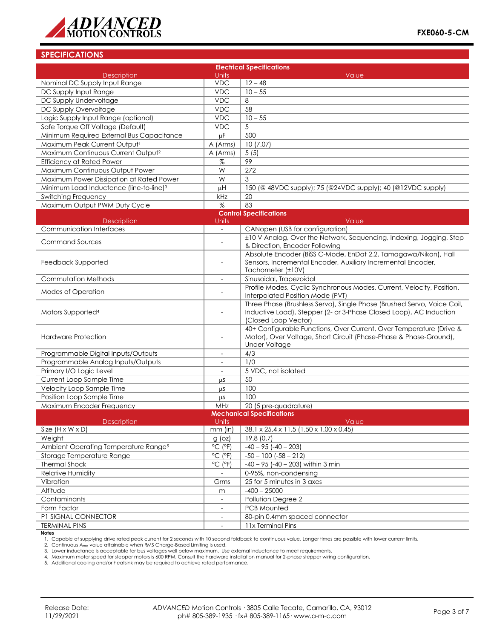

### **SPECIFICATIONS**

| <b>Electrical Specifications</b>                    |                              |                                                                                                  |  |  |  |
|-----------------------------------------------------|------------------------------|--------------------------------------------------------------------------------------------------|--|--|--|
| <b>Description</b>                                  | Units                        | Value                                                                                            |  |  |  |
| Nominal DC Supply Input Range                       | <b>VDC</b>                   | $12 - 48$                                                                                        |  |  |  |
| DC Supply Input Range                               | <b>VDC</b>                   | $10 - 55$                                                                                        |  |  |  |
| DC Supply Undervoltage                              | <b>VDC</b>                   | 8                                                                                                |  |  |  |
| DC Supply Overvoltage                               | <b>VDC</b>                   | 58                                                                                               |  |  |  |
| Logic Supply Input Range (optional)                 | <b>VDC</b>                   | $10 - 55$                                                                                        |  |  |  |
| Safe Torque Off Voltage (Default)                   | <b>VDC</b>                   | 5                                                                                                |  |  |  |
| Minimum Required External Bus Capacitance           | μF                           | 500                                                                                              |  |  |  |
| Maximum Peak Current Output <sup>1</sup>            | A (Arms)                     | 10(7.07)                                                                                         |  |  |  |
| Maximum Continuous Current Output <sup>2</sup>      | A (Arms)                     | 5(5)                                                                                             |  |  |  |
| <b>Efficiency at Rated Power</b>                    | %                            | 99                                                                                               |  |  |  |
| Maximum Continuous Output Power                     | W                            | 272                                                                                              |  |  |  |
| Maximum Power Dissipation at Rated Power            | W                            | 3                                                                                                |  |  |  |
| Minimum Load Inductance (line-to-line) <sup>3</sup> | μH                           | 150 (@ 48VDC supply); 75 (@24VDC supply); 40 (@12VDC supply)                                     |  |  |  |
| Switching Frequency                                 | kHz                          | 20                                                                                               |  |  |  |
| Maximum Output PWM Duty Cycle                       | $\%$                         | 83                                                                                               |  |  |  |
|                                                     |                              | <b>Control Specifications</b>                                                                    |  |  |  |
| <b>Description</b>                                  | Units                        | Value                                                                                            |  |  |  |
| <b>Communication Interfaces</b>                     | $\overline{\phantom{0}}$     | CANopen (USB for configuration)                                                                  |  |  |  |
| <b>Command Sources</b>                              | $\overline{a}$               | ±10 V Analog, Over the Network, Sequencing, Indexing, Jogging, Step                              |  |  |  |
|                                                     |                              | & Direction, Encoder Following                                                                   |  |  |  |
|                                                     |                              | Absolute Encoder (BiSS C-Mode, EnDat 2.2, Tamagawa/Nikon), Hall                                  |  |  |  |
| Feedback Supported                                  | $\overline{\phantom{a}}$     | Sensors, Incremental Encoder, Auxiliary Incremental Encoder,<br>Tachometer (±10V)                |  |  |  |
| Commutation Methods                                 |                              |                                                                                                  |  |  |  |
|                                                     | $\overline{\phantom{a}}$     | Sinusoidal, Trapezoidal<br>Profile Modes, Cyclic Synchronous Modes, Current, Velocity, Position, |  |  |  |
| Modes of Operation                                  |                              | Interpolated Position Mode (PVT)                                                                 |  |  |  |
|                                                     |                              | Three Phase (Brushless Servo), Single Phase (Brushed Servo, Voice Coil,                          |  |  |  |
| Motors Supported <sup>4</sup>                       |                              | Inductive Load), Stepper (2- or 3-Phase Closed Loop), AC Induction<br>(Closed Loop Vector)       |  |  |  |
|                                                     |                              | 40+ Configurable Functions, Over Current, Over Temperature (Drive &                              |  |  |  |
| <b>Hardware Protection</b>                          | $\overline{a}$               | Motor), Over Voltage, Short Circuit (Phase-Phase & Phase-Ground),                                |  |  |  |
|                                                     |                              | <b>Under Voltage</b>                                                                             |  |  |  |
| Programmable Digital Inputs/Outputs                 | $\blacksquare$               | 4/3                                                                                              |  |  |  |
| Programmable Analog Inputs/Outputs                  | $\overline{\phantom{a}}$     | 1/0                                                                                              |  |  |  |
| Primary I/O Logic Level                             | $\overline{\phantom{a}}$     | 5 VDC, not isolated                                                                              |  |  |  |
| Current Loop Sample Time                            | μS                           | 50                                                                                               |  |  |  |
| Velocity Loop Sample Time                           | μS                           | 100                                                                                              |  |  |  |
| Position Loop Sample Time                           | μs                           | 100                                                                                              |  |  |  |
| Maximum Encoder Frequency                           | MHz                          | 20 (5 pre-quadrature)                                                                            |  |  |  |
| <b>Mechanical Specifications</b>                    |                              |                                                                                                  |  |  |  |
| Description                                         | Units                        | Value                                                                                            |  |  |  |
| Size $(H \times W \times D)$                        | $mm$ (in)                    | 38.1 x 25.4 x 11.5 (1.50 x 1.00 x 0.45)                                                          |  |  |  |
| Weight                                              | $g$ (oz)                     | 19.8(0.7)                                                                                        |  |  |  |
| Ambient Operating Temperature Range <sup>5</sup>    | $^{\circ}$ C ( $^{\circ}$ F) | $-40 - 95 (-40 - 203)$                                                                           |  |  |  |
| Storage Temperature Range                           | $^{\circ}$ C ( $^{\circ}$ F) | $-50 - 100$ $(-58 - 212)$                                                                        |  |  |  |
| <b>Thermal Shock</b>                                | $^{\circ}$ C ( $^{\circ}$ F) | $-40 - 95$ ( $-40 - 203$ ) within 3 min                                                          |  |  |  |
| Relative Humidity                                   |                              | 0-95%, non-condensing                                                                            |  |  |  |
| Vibration                                           | Grms                         | 25 for 5 minutes in 3 axes                                                                       |  |  |  |
| Altitude                                            | m                            | $-400 - 25000$                                                                                   |  |  |  |
| Contaminants                                        | $\overline{\phantom{a}}$     | Pollution Degree 2                                                                               |  |  |  |
| Form Factor                                         | $\overline{\phantom{a}}$     | PCB Mounted                                                                                      |  |  |  |
| P1 SIGNAL CONNECTOR                                 | $\overline{\phantom{a}}$     | 80-pin 0.4mm spaced connector                                                                    |  |  |  |
| <b>TERMINAL PINS</b>                                |                              | 11x Terminal Pins                                                                                |  |  |  |
| <b>Notes</b>                                        |                              |                                                                                                  |  |  |  |

1. Capable of supplying drive rated peak current for 2 seconds with 10 second foldback to continuous value. Longer times are possible with lower current limits.<br>2. Continuous A<sub>rms</sub> value attainable when RMS Charge-Based L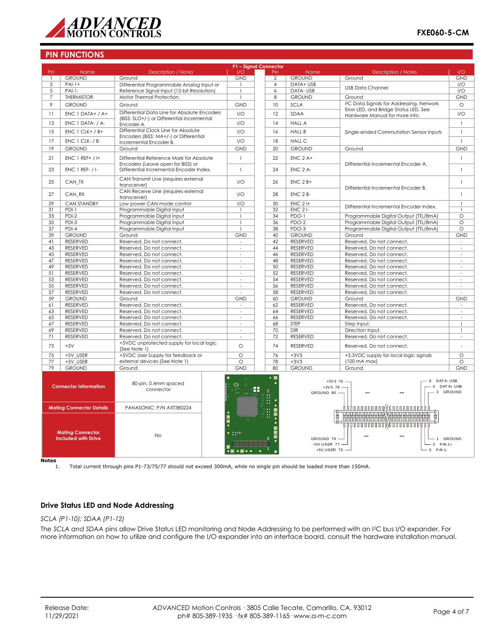

| P1 - Signal Connector                                                                                               |                              |                                                                                   |                                                                 |                  |                                             |                                                       |                          |
|---------------------------------------------------------------------------------------------------------------------|------------------------------|-----------------------------------------------------------------------------------|-----------------------------------------------------------------|------------------|---------------------------------------------|-------------------------------------------------------|--------------------------|
| Pin                                                                                                                 | Name                         | <b>Description / Notes</b>                                                        | 1/O                                                             | Pin              | Name                                        | <b>Description / Notes</b>                            | 1/O                      |
|                                                                                                                     | <b>GROUND</b>                | Ground                                                                            | <b>GND</b>                                                      | $\overline{2}$   | <b>GROUND</b>                               | Ground                                                | <b>GND</b>               |
| 3                                                                                                                   | $PAI-1+$                     | Differential Programmable Analog Input or                                         |                                                                 | $\overline{4}$   | DATA+ USB                                   | <b>USB Data Channel</b>                               | I/O                      |
| 5                                                                                                                   | $PAI-I-$                     | Reference Signal Input (12-bit Resolution)                                        | $\overline{1}$                                                  | $\boldsymbol{6}$ | DATA-USB                                    |                                                       | $\overline{1/O}$         |
| 7                                                                                                                   | <b>THERMISTOR</b>            | Motor Thermal Protection.                                                         |                                                                 | 8                | <b>GROUND</b>                               | Ground                                                | <b>GND</b>               |
| 9                                                                                                                   | <b>GROUND</b>                | Ground                                                                            | <b>GND</b>                                                      | 10               | <b>SCLA</b>                                 | I <sup>2</sup> C Data Signals for Addressing, Network | $\circ$                  |
|                                                                                                                     |                              | Differential Data Line for Absolute Encoders                                      |                                                                 |                  |                                             | Error LED, and Bridge Status LED. See                 |                          |
| 11                                                                                                                  | $ENC 1 DATA+ / A+$           | (BiSS: SLO+/-) or Differential Incremental                                        | 1/O                                                             | 12               | <b>SDAA</b>                                 | Hardware Manual for more info.                        | I/O                      |
| 13                                                                                                                  | ENC 1 DATA- / A-             | Encoder A.                                                                        | 1/O                                                             | 14               | <b>HALL A</b>                               |                                                       | $\mathbf{I}$             |
|                                                                                                                     |                              | Differential Clock Line for Absolute                                              |                                                                 |                  |                                             |                                                       |                          |
| 15                                                                                                                  | $ENC 1 CLK+ / B+$            | Encoders (BiSS: MA+/-) or Differential                                            | 1/O                                                             | 16               | <b>HALL B</b>                               | Single-ended Commutation Sensor Inputs                | $\mathbf{I}$             |
| 17                                                                                                                  | ENC 1 CLK- / B-              | Incremental Encoder B.                                                            | I/O                                                             | 18               | <b>HALL C</b>                               |                                                       | $\overline{1}$           |
| 19                                                                                                                  | <b>GROUND</b>                | Ground                                                                            | <b>GND</b>                                                      | 20               | <b>GROUND</b>                               | Ground                                                | <b>GND</b>               |
|                                                                                                                     |                              |                                                                                   |                                                                 |                  |                                             |                                                       |                          |
| 21                                                                                                                  | $ENC 1 REF+ / H$             | Differential Reference Mark for Absolute                                          | $\overline{1}$                                                  | 22               | $ENC$ 2 A+                                  |                                                       | $\mathbf{I}$             |
|                                                                                                                     |                              | Encoders (Leave open for BiSS) or                                                 |                                                                 |                  |                                             | Differential Incremental Encoder A.                   |                          |
| 23                                                                                                                  | $ENC$ 1 REF- $/I$ -          | Differential Incremental Encoder Index.                                           | $\mathbf{I}$                                                    | 24               | ENC 2 A-                                    |                                                       | $\mathbf{I}$             |
|                                                                                                                     |                              | CAN Transmit Line (requires external                                              |                                                                 |                  |                                             |                                                       | $\mathbf{I}$             |
| 25                                                                                                                  | CAN TX                       | transceiver)                                                                      | I/O                                                             | 26               | $ENC$ 2 $B+$                                |                                                       |                          |
|                                                                                                                     |                              | CAN Receive Line (requires external                                               |                                                                 |                  |                                             | Differential Incremental Encoder B.                   |                          |
| 27                                                                                                                  | CAN RX                       | transceiver)                                                                      | 1/O                                                             | 28               | $ENC$ $2B$ -                                |                                                       | $\mathbf{I}$             |
| 29                                                                                                                  | <b>CAN STANDBY</b>           | Low power CAN mode control                                                        | 1/O                                                             | 30               | $ENC$ 2 $H$                                 |                                                       | $\perp$                  |
| 31                                                                                                                  | PDI-1                        | Programmable Digital Input                                                        |                                                                 | 32               | $ENC$ 2 $I$ -                               | Differential Incremental Encoder Index.               | $\overline{1}$           |
| 33                                                                                                                  | $PDI-2$                      | Programmable Digital Input                                                        |                                                                 | 34               | PDO-1                                       | Programmable Digital Output (TTL/8mA)                 | $\circ$                  |
| 35                                                                                                                  | PDI-3                        | Programmable Digital Input                                                        |                                                                 | 36               | PDO-2                                       | Programmable Digital Output (TTL/8mA)                 | $\circ$                  |
| 37                                                                                                                  | $PDI-4$                      | Programmable Digital Input                                                        |                                                                 | 38               | PDO-3                                       | Programmable Digital Output (TTL/8mA)                 | $\circ$                  |
| 39                                                                                                                  | <b>GROUND</b>                | Ground                                                                            | <b>GND</b>                                                      | 40               | <b>GROUND</b>                               | Ground                                                | <b>GND</b>               |
| 41                                                                                                                  | <b>RESERVED</b>              | Reserved. Do not connect.                                                         | $\overline{\phantom{a}}$                                        | 42               | <b>RESERVED</b>                             | Reserved. Do not connect.                             | $\overline{\phantom{a}}$ |
| 43                                                                                                                  | <b>RESERVED</b>              | Reserved. Do not connect.                                                         | $\overline{\phantom{a}}$                                        | 44               | <b>RESERVED</b>                             | Reserved. Do not connect.                             | $\overline{\phantom{a}}$ |
| 45                                                                                                                  | RESERVED                     | Reserved. Do not connect.                                                         | $\sim$                                                          | 46               | RESERVED                                    | Reserved. Do not connect.                             | $\sim$                   |
| 47                                                                                                                  | <b>RESERVED</b>              | Reserved. Do not connect.                                                         | $\sim$                                                          |                  | <b>RESERVED</b>                             | Reserved. Do not connect.                             | ٠                        |
| 49                                                                                                                  |                              |                                                                                   | $\overline{a}$                                                  | 48               |                                             |                                                       | $\overline{a}$           |
|                                                                                                                     | RESERVED                     | Reserved. Do not connect.                                                         |                                                                 | 50               | <b>RESERVED</b>                             | Reserved. Do not connect.                             |                          |
| 51                                                                                                                  | RESERVED                     | Reserved. Do not connect.                                                         |                                                                 | 52               | RESERVED                                    | Reserved. Do not connect.                             | ä,                       |
| 53                                                                                                                  | RESERVED                     | Reserved. Do not connect.                                                         | $\overline{\phantom{a}}$                                        | 54               | RESERVED                                    | Reserved. Do not connect.                             | $\overline{\phantom{a}}$ |
| 55                                                                                                                  | <b>RESERVED</b>              | Reserved. Do not connect.                                                         | $\sim$                                                          | 56               | <b>RESERVED</b>                             | Reserved. Do not connect.                             | L.                       |
| 57                                                                                                                  | RESERVED                     | Reserved. Do not connect.                                                         |                                                                 | 58               | RESERVED                                    | Reserved. Do not connect.                             | ÷,                       |
| 59                                                                                                                  | <b>GROUND</b>                | Ground                                                                            | <b>GND</b>                                                      | 60               | <b>GROUND</b>                               | Ground                                                | <b>GND</b>               |
| 61                                                                                                                  | RESERVED                     | Reserved. Do not connect.                                                         | $\omega$                                                        | 62               | RESERVED                                    | Reserved. Do not connect.                             | $\overline{\phantom{a}}$ |
| 63                                                                                                                  | RESERVED                     | Reserved. Do not connect.                                                         | $\sim$                                                          | 64               | <b>RESERVED</b>                             | Reserved. Do not connect.                             | $\sim$                   |
| 65                                                                                                                  | RESERVED                     | Reserved. Do not connect.                                                         | $\overline{\phantom{a}}$                                        | 66               | RESERVED                                    | Reserved. Do not connect.                             | ÷,                       |
| 67                                                                                                                  | RESERVED                     | Reserved. Do not connect.                                                         | $\sim$                                                          | 68               | STEP                                        | Step Input.                                           | $\mathbf{I}$             |
| 69                                                                                                                  | RESERVED                     | Reserved. Do not connect.                                                         | $\overline{a}$                                                  | 70               | <b>DIR</b>                                  | Direction Input.                                      | $\mathbf{I}$             |
| 71                                                                                                                  | RESERVED                     | Reserved. Do not connect.                                                         | $\sim$                                                          | 72               | RESERVED                                    | Reserved. Do not connect.                             | $\overline{\phantom{a}}$ |
| 73                                                                                                                  | $+5V$                        | +5VDC unprotected supply for local logic                                          | $\Omega$                                                        | 74               | <b>RESERVED</b>                             | Reserved. Do not connect.                             |                          |
|                                                                                                                     |                              | (See Note 1)                                                                      |                                                                 |                  |                                             |                                                       |                          |
| 75                                                                                                                  | $+5V$ _USER                  | +5VDC User Supply for feedback or                                                 | $\circ$                                                         | 76               | $+3V3$                                      | +3.3VDC supply for local logic signals                | $\circ$                  |
| 77                                                                                                                  | +5V USER                     | external devices (See Note 1)                                                     | $\Omega$                                                        | 78               | $+3V3$                                      | (100 mA max)                                          | $\Omega$                 |
| 79                                                                                                                  | <b>GROUND</b>                | Ground                                                                            | <b>GND</b>                                                      | 80               | <b>GROUND</b>                               | Ground                                                | <b>GND</b>               |
|                                                                                                                     | <b>Connector Information</b> | 80-pin, 0.4mm spaced<br>connector                                                 | $\pm$ 14                                                        | $\bullet$ 0<br>ж | $+3V378$<br>GROUND 80 -                     | DAT A- USB<br>$+3V3$ 76 -<br>6<br>$\overline{4}$      | DAT A+ USB<br>2 GROUND   |
| <b>Mating Connector Details</b><br>PANASONIC: P/N AXT380224<br>$\frac{1}{\sqrt{2}}$<br>٠<br><b>Mating Connector</b> |                              | <u> ለለለበበበበበበበበበ/ (በበበበበበበበበስስስ</u><br><del>,,,,,,,,,,,,,,,</del> ,,,,,,,,,,,,,,, |                                                                 |                  |                                             |                                                       |                          |
| <b>Included with Drive</b>                                                                                          |                              | <b>No</b>                                                                         | $\sim$ 100<br>$\bullet$ $\bullet$ $\bullet$ $\bullet$ $\bullet$ |                  | GROUND 79 -<br>+5V USER 77 -<br>+5V USER 75 | ш,<br>$3$ PAI-1+<br>5 PAI-1-                          | 1 GROUND                 |

 $Notes$ <sub>1.</sub>

1. Total current through pins P1-73/75/77 should not exceed 300mA, while no single pin should be loaded more than 150mA.

## **Drive Status LED and Node Addressing**

*SCLA (P1-10); SDAA (P1-12)*

The *SCLA and SDAA* pins allow Drive Status LED monitoring and Node Addressing to be performed with an I2C bus I/O expander. For more information on how to utilize and configure the I/O expander into an interface board, consult the hardware installation manual.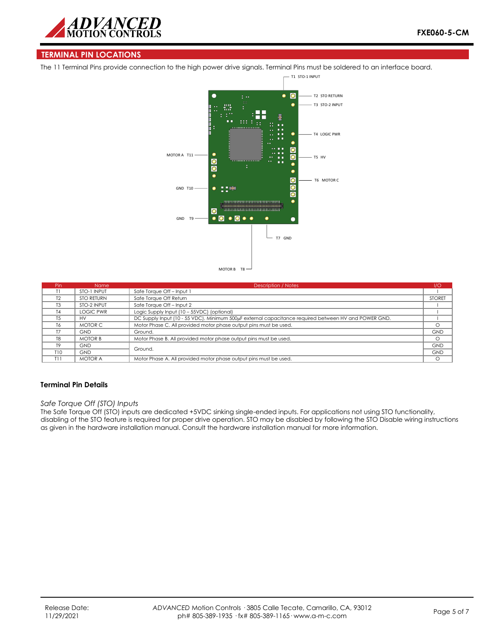

#### **TERMINAL PIN LOCATIONS**

The 11 Terminal Pins provide connection to the high power drive signals. Terminal Pins must be soldered to an interface board.



| Pin            | <b>Name</b>       | Description / Notes                                                                                  | 1/O           |
|----------------|-------------------|------------------------------------------------------------------------------------------------------|---------------|
|                | STO-1 INPUT       | Safe Torque Off - Input 1                                                                            |               |
| T <sub>2</sub> | <b>STO RETURN</b> | Safe Torque Off Return                                                                               | <b>STORET</b> |
| T3             | STO-2 INPUT       | Safe Torque Off - Input 2                                                                            |               |
| T <sub>4</sub> | <b>LOGIC PWR</b>  | Logic Supply Input (10 - 55VDC) (optional)                                                           |               |
| T.5            | HV                | DC Supply Input (10 - 55 VDC). Minimum 500µF external capacitance required between HV and POWER GND. |               |
| T6             | MOTOR C           | Motor Phase C. All provided motor phase output pins must be used.                                    | $\Omega$      |
| T7             | <b>GND</b>        | Ground.                                                                                              | <b>GND</b>    |
| T <sub>8</sub> | <b>MOTOR B</b>    | Motor Phase B. All provided motor phase output pins must be used.                                    | $\circ$       |
| T9             | <b>GND</b>        |                                                                                                      | <b>GND</b>    |
| T10            | <b>GND</b>        | Ground.                                                                                              | <b>GND</b>    |
| T11            | <b>MOTOR A</b>    | Motor Phase A. All provided motor phase output pins must be used.                                    | $\circ$       |

#### **Terminal Pin Details**

#### *Safe Torque Off (STO) Inputs*

The Safe Torque Off (STO) inputs are dedicated +5VDC sinking single-ended inputs. For applications not using STO functionality, disabling of the STO feature is required for proper drive operation. STO may be disabled by following the STO Disable wiring instructions as given in the hardware installation manual. Consult the hardware installation manual for more information.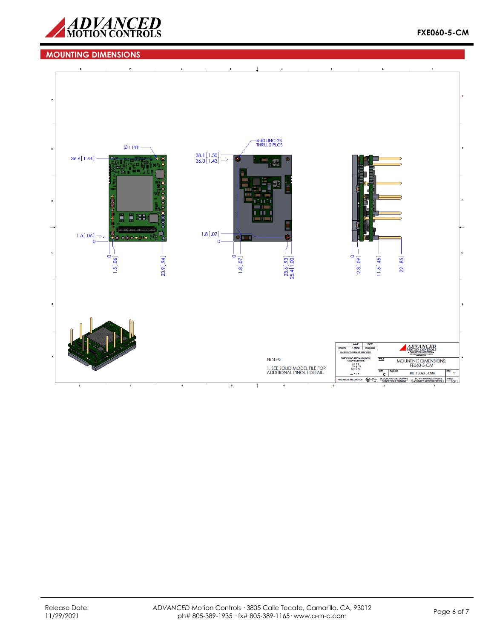

## **MOUNTING DIMENSIONS**